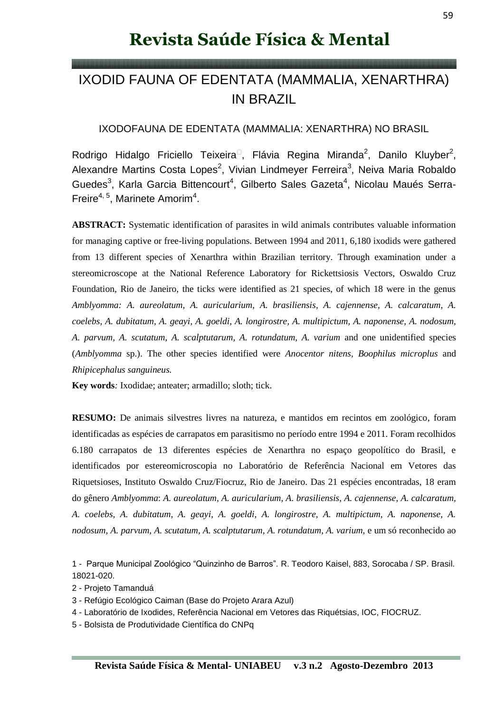# **Revista Saúde Física & Mental**

# IXODID FAUNA OF EDENTATA (MAMMALIA, XENARTHRA) IN BRAZIL

### IXODOFAUNA DE EDENTATA (MAMMALIA: XENARTHRA) NO BRASIL

Rodrigo Hidalgo Friciello Teixeira<sup>n</sup>, Flávia Regina Miranda<sup>2</sup>, Danilo Kluyber<sup>2</sup>, Alexandre Martins Costa Lopes<sup>2</sup>, Vivian Lindmeyer Ferreira<sup>3</sup>, Neiva Maria Robaldo Guedes<sup>3</sup>, Karla Garcia Bittencourt<sup>4</sup>, Gilberto Sales Gazeta<sup>4</sup>, Nicolau Maués Serra-Freire<sup>4, 5</sup>, Marinete Amorim<sup>4</sup>.

**ABSTRACT:** Systematic identification of parasites in wild animals contributes valuable information for managing captive or free-living populations. Between 1994 and 2011, 6,180 ixodids were gathered from 13 different species of Xenarthra within Brazilian territory. Through examination under a stereomicroscope at the National Reference Laboratory for Rickettsiosis Vectors, Oswaldo Cruz Foundation, Rio de Janeiro, the ticks were identified as 21 species, of which 18 were in the genus *Amblyomma: A. aureolatum, A. auricularium, A. brasiliensis*, *A. cajennense, A. calcaratum, A. coelebs, A. dubitatum, A. geayi, A. goeldi, A. longirostre, A. multipictum, A. naponense, A. nodosum, A. parvum, A. scutatum, A. scalptutarum, A. rotundatum, A. varium* and one unidentified species (*Amblyomma* sp.). The other species identified were *Anocentor nitens, Boophilus microplus* and *Rhipicephalus sanguineus.*

**Key words***:* Ixodidae; anteater; armadillo; sloth; tick.

**RESUMO:** De animais silvestres livres na natureza, e mantidos em recintos em zoológico, foram identificadas as espécies de carrapatos em parasitismo no período entre 1994 e 2011. Foram recolhidos 6.180 carrapatos de 13 diferentes espécies de Xenarthra no espaço geopolítico do Brasil, e identificados por estereomicroscopia no Laboratório de Referência Nacional em Vetores das Riquetsioses, Instituto Oswaldo Cruz/Fiocruz, Rio de Janeiro. Das 21 espécies encontradas, 18 eram do gênero *Amblyomma*: *A. aureolatum, A. auricularium, A. brasiliensis*, *A. cajennense, A. calcaratum, A. coelebs, A. dubitatum, A. geayi, A. goeldi, A. longirostre, A. multipictum, A. naponense, A.*  nodosum, A. parvum, A. scutatum, A. scalptutarum, A. rotundatum, A. varium, e um só reconhecido ao

1 - Parque Municipal Zoológico "Quinzinho de Barros". R. Teodoro Kaisel, 883, Sorocaba / SP. Brasil. 18021-020.

- 2 Projeto Tamanduá
- 3 Refúgio Ecológico Caiman (Base do Projeto Arara Azul)
- 4 Laboratório de Ixodides, Referência Nacional em Vetores das Riquétsias, IOC, FIOCRUZ.

5 - Bolsista de Produtividade Científica do CNPq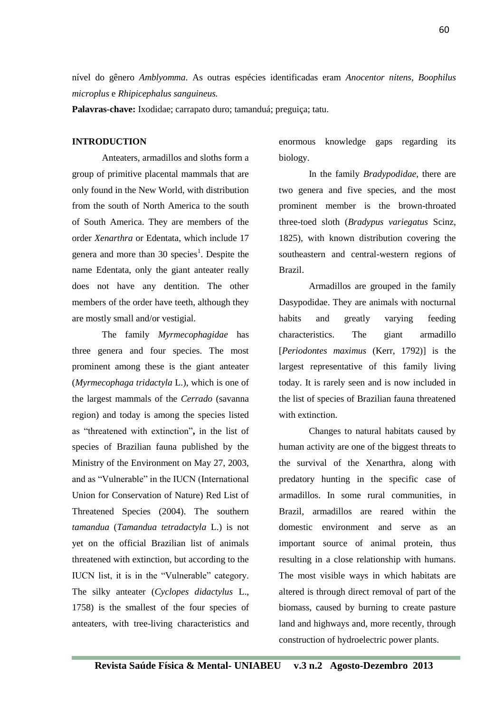nível do gênero *Amblyomma*. As outras espécies identificadas eram *Anocentor nitens, Boophilus microplus* e *Rhipicephalus sanguineus.*

**Palavras-chave:** Ixodidae; carrapato duro; tamanduá; preguiça; tatu.

#### **INTRODUCTION**

Anteaters, armadillos and sloths form a group of primitive placental mammals that are only found in the New World, with distribution from the south of North America to the south of South America. They are members of the order *Xenarthra* or Edentata, which include 17 genera and more than 30 species<sup>1</sup>. Despite the name Edentata, only the giant anteater really does not have any dentition. The other members of the order have teeth, although they are mostly small and/or vestigial.

The family *Myrmecophagidae* has three genera and four species. The most prominent among these is the giant anteater (*Myrmecophaga tridactyla* L.), which is one of the largest mammals of the *Cerrado* (savanna region) and today is among the species listed as "threatened with extinction"**,** in the list of species of Brazilian fauna published by the Ministry of the Environment on May 27, 2003, and as "Vulnerable" in the IUCN (International Union for Conservation of Nature) Red List of Threatened Species (2004). The southern *tamandua* (*Tamandua tetradactyla* L.) is not yet on the official Brazilian list of animals threatened with extinction, but according to the IUCN list, it is in the "Vulnerable" category. The silky anteater (*Cyclopes didactylus* L., 1758) is the smallest of the four species of anteaters, with tree-living characteristics and enormous knowledge gaps regarding its biology.

In the family *Bradypodidae*, there are two genera and five species, and the most prominent member is the brown-throated three-toed sloth (*Bradypus variegatus* Scinz, 1825), with known distribution covering the southeastern and central-western regions of Brazil.

Armadillos are grouped in the family Dasypodidae. They are animals with nocturnal habits and greatly varying feeding characteristics. The giant armadillo [*Periodontes maximus* (Kerr, 1792)] is the largest representative of this family living today. It is rarely seen and is now included in the list of species of Brazilian fauna threatened with extinction.

Changes to natural habitats caused by human activity are one of the biggest threats to the survival of the Xenarthra, along with predatory hunting in the specific case of armadillos. In some rural communities, in Brazil, armadillos are reared within the domestic environment and serve as an important source of animal protein, thus resulting in a close relationship with humans. The most visible ways in which habitats are altered is through direct removal of part of the biomass, caused by burning to create pasture land and highways and, more recently, through construction of hydroelectric power plants.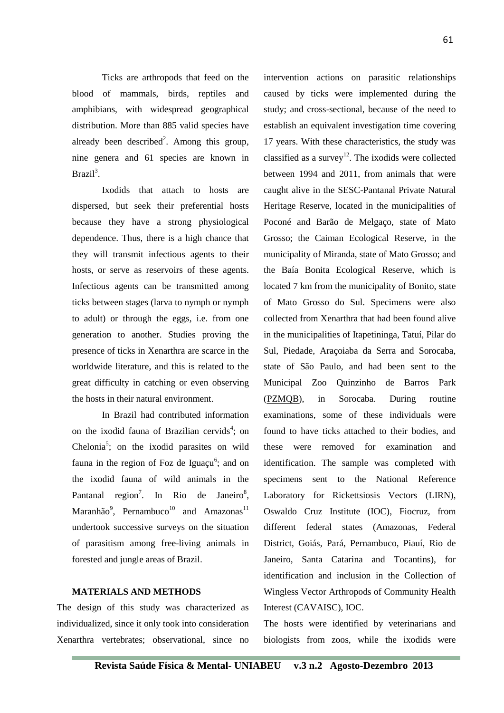Ticks are arthropods that feed on the blood of mammals, birds, reptiles and amphibians, with widespread geographical distribution. More than 885 valid species have already been described<sup>2</sup>. Among this group,

Ixodids that attach to hosts are dispersed, but seek their preferential hosts because they have a strong physiological dependence. Thus, there is a high chance that they will transmit infectious agents to their hosts, or serve as reservoirs of these agents. Infectious agents can be transmitted among ticks between stages (larva to nymph or nymph to adult) or through the eggs, i.e. from one generation to another. Studies proving the presence of ticks in Xenarthra are scarce in the worldwide literature, and this is related to the great difficulty in catching or even observing the hosts in their natural environment.

nine genera and 61 species are known in

Brazil<sup>3</sup>.

In Brazil had contributed information on the ixodid fauna of Brazilian cervids<sup>4</sup>; on Chelonia<sup>5</sup>; on the ixodid parasites on wild fauna in the region of Foz de Iguaçu<sup>6</sup>; and on the ixodid fauna of wild animals in the Pantanal region<sup>7</sup>. In Rio de Janeiro<sup>8</sup>, Maranhão<sup>9</sup>, Pernambuco<sup>10</sup> and Amazonas<sup>11</sup> undertook successive surveys on the situation of parasitism among free-living animals in forested and jungle areas of Brazil.

# **MATERIALS AND METHODS**

The design of this study was characterized as individualized, since it only took into consideration Xenarthra vertebrates; observational, since no

intervention actions on parasitic relationships caused by ticks were implemented during the study; and cross-sectional, because of the need to establish an equivalent investigation time covering 17 years. With these characteristics, the study was classified as a survey<sup>12</sup>. The ixodids were collected between 1994 and 2011, from animals that were caught alive in the SESC-Pantanal Private Natural Heritage Reserve, located in the municipalities of Poconé and Barão de Melgaço, state of Mato Grosso; the Caiman Ecological Reserve, in the municipality of Miranda, state of Mato Grosso; and the Baía Bonita Ecological Reserve, which is located 7 km from the municipality of Bonito, state of Mato Grosso do Sul. Specimens were also collected from Xenarthra that had been found alive in the municipalities of Itapetininga, Tatuí, Pilar do Sul, Piedade, Araçoiaba da Serra and Sorocaba, state of São Paulo, and had been sent to the Municipal Zoo Quinzinho de Barros Park [\(PZMQB\)](http://zoo.sorocaba.sp.gov.br/), in Sorocaba. During routine examinations, some of these individuals were found to have ticks attached to their bodies, and these were removed for examination and identification. The sample was completed with specimens sent to the National Reference Laboratory for Rickettsiosis Vectors (LIRN), Oswaldo Cruz Institute (IOC), Fiocruz, from different federal states (Amazonas, Federal District, Goiás, Pará, Pernambuco, Piauí, Rio de Janeiro, Santa Catarina and Tocantins), for identification and inclusion in the Collection of Wingless Vector Arthropods of Community Health Interest (CAVAISC), IOC.

The hosts were identified by veterinarians and biologists from zoos, while the ixodids were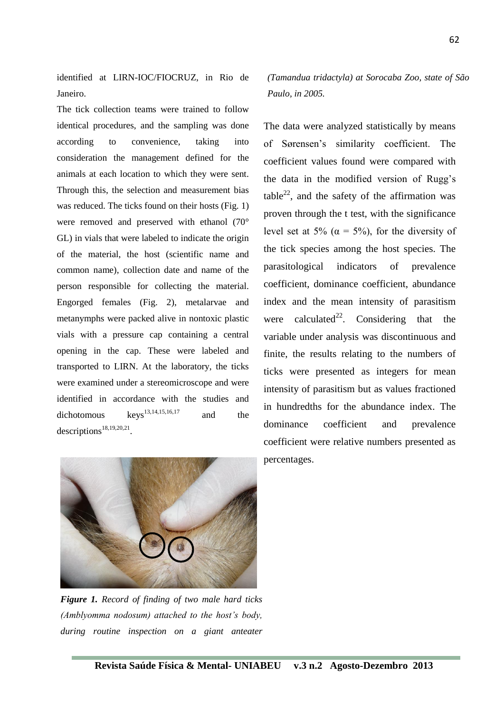identified at LIRN-IOC/FIOCRUZ, in Rio de Janeiro.

The tick collection teams were trained to follow identical procedures, and the sampling was done according to convenience, taking into consideration the management defined for the animals at each location to which they were sent. Through this, the selection and measurement bias was reduced. The ticks found on their hosts (Fig. 1) were removed and preserved with ethanol (70° GL) in vials that were labeled to indicate the origin of the material, the host (scientific name and common name), collection date and name of the person responsible for collecting the material. Engorged females (Fig. 2), metalarvae and metanymphs were packed alive in nontoxic plastic vials with a pressure cap containing a central opening in the cap. These were labeled and transported to LIRN. At the laboratory, the ticks were examined under a stereomicroscope and were identified in accordance with the studies and dichotomous keys<sup>13,14,15,16,17</sup> and the descriptions<sup>18,19,20,21</sup>.

*(Tamandua tridactyla) at Sorocaba Zoo, state of São Paulo, in 2005.* 

The data were analyzed statistically by means of Sørensen's similarity coefficient. The coefficient values found were compared with the data in the modified version of Rugg's table<sup>22</sup>, and the safety of the affirmation was proven through the t test, with the significance level set at 5% ( $\alpha = 5\%$ ), for the diversity of the tick species among the host species. The parasitological indicators of prevalence coefficient, dominance coefficient, abundance index and the mean intensity of parasitism were calculated<sup>22</sup>. Considering that the variable under analysis was discontinuous and finite, the results relating to the numbers of ticks were presented as integers for mean intensity of parasitism but as values fractioned in hundredths for the abundance index. The dominance coefficient and prevalence coefficient were relative numbers presented as percentages.



*Figure 1. Record of finding of two male hard ticks (Amblyomma nodosum) attached to the host's body, during routine inspection on a giant anteater*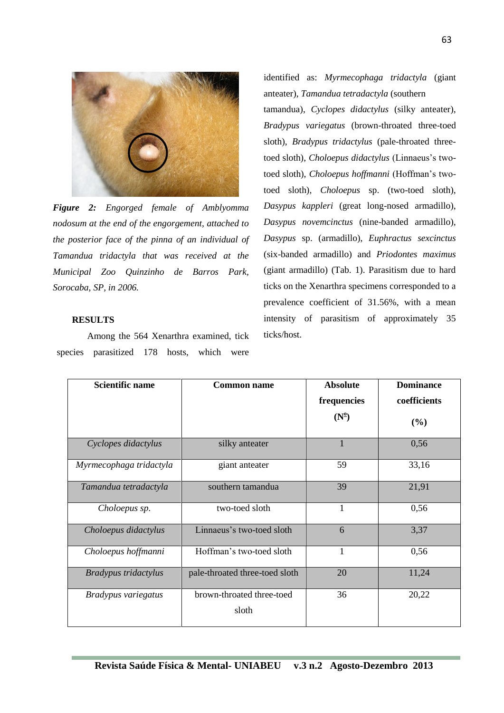

*Figure 2: Engorged female of Amblyomma nodosum at the end of the engorgement, attached to the posterior face of the pinna of an individual of Tamandua tridactyla that was received at the Municipal Zoo Quinzinho de Barros Park, Sorocaba, SP, in 2006.*

#### **RESULTS**

Among the 564 Xenarthra examined, tick species parasitized 178 hosts, which were identified as: *Myrmecophaga tridactyla* (giant anteater), *Tamandua tetradactyla* (southern

tamandua), *Cyclopes didactylus* (silky anteater), *Bradypus variegatus* (brown-throated three-toed sloth), *Bradypus tridactylus* (pale-throated threetoed sloth), *Choloepus didactylus* (Linnaeus's twotoed sloth), *Choloepus hoffmanni* (Hoffman's twotoed sloth), *Choloepus* sp. (two-toed sloth), *Dasypus kappleri* (great long-nosed armadillo), *Dasypus novemcinctus* (nine-banded armadillo), *Dasypus* sp. (armadillo), *Euphractus sexcinctus* (six-banded armadillo) and *Priodontes maximus* (giant armadillo) (Tab. 1). Parasitism due to hard ticks on the Xenarthra specimens corresponded to a prevalence coefficient of 31.56%, with a mean intensity of parasitism of approximately 35 ticks/host.

| <b>Scientific name</b>  | <b>Common name</b>             | <b>Absolute</b>             | <b>Dominance</b> |  |
|-------------------------|--------------------------------|-----------------------------|------------------|--|
|                         |                                | coefficients<br>frequencies |                  |  |
|                         |                                | $(N^{\circ})$               | (%)              |  |
| Cyclopes didactylus     | silky anteater                 | $\mathbf{1}$                | 0,56             |  |
| Myrmecophaga tridactyla | giant anteater                 | 59                          | 33,16            |  |
| Tamandua tetradactyla   | southern tamandua              | 39                          | 21,91            |  |
| Choloepus sp.           | two-toed sloth                 | 1                           | 0,56             |  |
| Choloepus didactylus    | Linnaeus's two-toed sloth      | 6                           | 3,37             |  |
| Choloepus hoffmanni     | Hoffman's two-toed sloth       | $\mathbf{1}$                | 0,56             |  |
| Bradypus tridactylus    | pale-throated three-toed sloth | 20                          | 11,24            |  |
| Bradypus variegatus     | brown-throated three-toed      | 36                          | 20,22            |  |
|                         | sloth                          |                             |                  |  |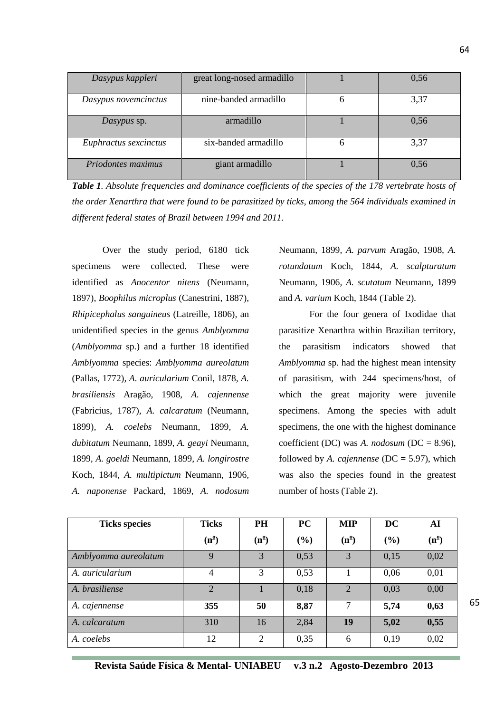| Dasypus kappleri      | great long-nosed armadillo | 0,56 |
|-----------------------|----------------------------|------|
| Dasypus novemcinctus  | nine-banded armadillo      | 3,37 |
| Dasypus sp.           | armadillo                  | 0,56 |
| Euphractus sexcinctus | six-banded armadillo       | 3,37 |
| Priodontes maximus    | giant armadillo            | 0.56 |

*Table 1. Absolute frequencies and dominance coefficients of the species of the 178 vertebrate hosts of the order Xenarthra that were found to be parasitized by ticks, among the 564 individuals examined in different federal states of Brazil between 1994 and 2011.*

Over the study period, 6180 tick specimens were collected. These were identified as *Anocentor nitens* (Neumann, 1897), *Boophilus microplus* (Canestrini, 1887)*, Rhipicephalus sanguineus* (Latreille, 1806)*,* an unidentified species in the genus *Amblyomma*  (*Amblyomma* sp.) and a further 18 identified *Amblyomma* species: *Amblyomma aureolatum*  (Pallas, 1772)*, A. auricularium* Conil, 1878*, A. brasiliensis* Aragão, 1908, *A. cajennense*  (Fabricius, 1787)*, A. calcaratum* (Neumann, 1899)*, A. coelebs* Neumann, 1899*, A. dubitatum* Neumann, 1899*, A. geayi* Neumann, 1899*, A. goeldi* Neumann, 1899*, A. longirostre* Koch, 1844*, A. multipictum* Neumann, 1906*, A. naponense* Packard, 1869, *A. nodosum* 

Neumann, 1899*, A. parvum* Aragão, 1908*, A. rotundatum* Koch, 1844*, A. scalpturatum*  Neumann, 1906*, A. scutatum* Neumann, 1899 and *A. varium* Koch, 1844 (Table 2)*.*

For the four genera of Ixodidae that parasitize Xenarthra within Brazilian territory, the parasitism indicators showed that *Amblyomma* sp. had the highest mean intensity of parasitism, with 244 specimens/host, of which the great majority were juvenile specimens. Among the species with adult specimens, the one with the highest dominance coefficient (DC) was *A. nodosum* (DC = 8.96), followed by *A. cajennense* (DC = 5.97), which was also the species found in the greatest number of hosts (Table 2).

| <b>Ticks species</b> | <b>Ticks</b>   | <b>PH</b>      | PC     | <b>MIP</b>     | <b>DC</b> | AI            |
|----------------------|----------------|----------------|--------|----------------|-----------|---------------|
|                      | $(n^{\circ})$  | $(n^{\circ})$  | $(\%)$ | $(n^{\circ})$  | (%)       | $(n^{\circ})$ |
| Amblyomma aureolatum | 9              | 3              | 0,53   | 3              | 0,15      | 0,02          |
| A. auricularium      | $\overline{4}$ | 3              | 0,53   |                | 0,06      | 0,01          |
| A. brasiliense       | $\overline{2}$ |                | 0,18   | $\overline{2}$ | 0,03      | 0,00          |
| A. cajennense        | 355            | 50             | 8,87   | 7              | 5,74      | 0,63          |
| A. calcaratum        | 310            | 16             | 2,84   | 19             | 5,02      | 0,55          |
| A. coelebs           | 12             | $\overline{2}$ | 0,35   | 6              | 0,19      | 0,02          |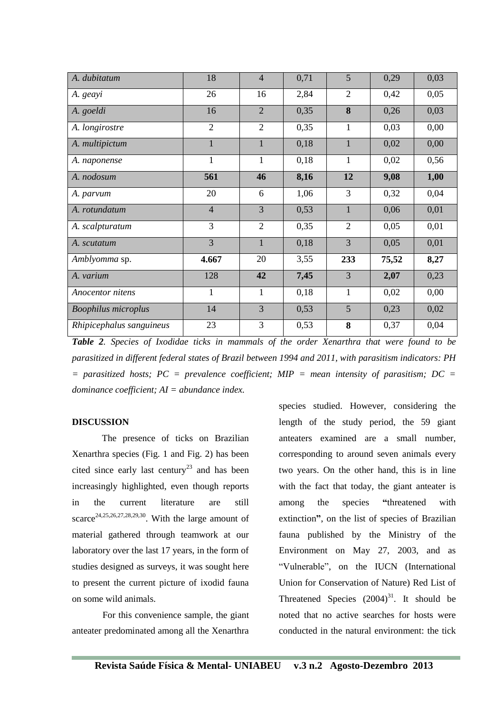| A. dubitatum               | 18             | $\overline{4}$ | 0,71 | 5              | 0,29  | 0,03 |
|----------------------------|----------------|----------------|------|----------------|-------|------|
| A. geayi                   | 26             | 16             | 2,84 | $\overline{2}$ | 0,42  | 0,05 |
| A. goeldi                  | 16             | $\overline{2}$ | 0,35 | 8              | 0,26  | 0,03 |
| A. longirostre             | $\overline{2}$ | $\overline{2}$ | 0,35 | $\mathbf{1}$   | 0,03  | 0,00 |
| A. multipictum             | $\mathbf{1}$   | 1              | 0,18 | $\mathbf{1}$   | 0,02  | 0,00 |
| A. naponense               | 1              | $\mathbf{1}$   | 0,18 | $\mathbf{1}$   | 0,02  | 0,56 |
| A. nodosum                 | 561            | 46             | 8,16 | 12             | 9,08  | 1,00 |
| A. parvum                  | 20             | 6              | 1,06 | 3              | 0,32  | 0,04 |
| A. rotundatum              | $\overline{4}$ | $\overline{3}$ | 0,53 | $\mathbf{1}$   | 0,06  | 0,01 |
| A. scalpturatum            | 3              | $\overline{2}$ | 0,35 | $\mathbf{2}$   | 0,05  | 0,01 |
| A. scutatum                | 3              | $\mathbf{1}$   | 0,18 | $\overline{3}$ | 0,05  | 0,01 |
| Amblyomma sp.              | 4.667          | 20             | 3,55 | 233            | 75,52 | 8,27 |
| A. varium                  | 128            | 42             | 7,45 | $\overline{3}$ | 2,07  | 0,23 |
| Anocentor nitens           | $\mathbf{1}$   | $\mathbf{1}$   | 0,18 | $\mathbf{1}$   | 0,02  | 0,00 |
| <b>Boophilus microplus</b> | 14             | 3              | 0,53 | 5              | 0,23  | 0,02 |
| Rhipicephalus sanguineus   | 23             | 3              | 0,53 | 8              | 0,37  | 0,04 |

*Table 2. Species of Ixodidae ticks in mammals of the order Xenarthra that were found to be parasitized in different federal states of Brazil between 1994 and 2011, with parasitism indicators: PH*   $=$  parasitized hosts; PC = prevalence coefficient; MIP = mean intensity of parasitism; DC = *dominance coefficient; AI = abundance index.*

#### **DISCUSSION**

The presence of ticks on Brazilian Xenarthra species (Fig. 1 and Fig. 2) has been cited since early last century<sup>23</sup> and has been increasingly highlighted, even though reports in the current literature are still scarce<sup>24,25,26,27,28,29,30</sup>. With the large amount of material gathered through teamwork at our laboratory over the last 17 years, in the form of studies designed as surveys, it was sought here to present the current picture of ixodid fauna on some wild animals.

For this convenience sample, the giant anteater predominated among all the Xenarthra species studied. However, considering the length of the study period, the 59 giant anteaters examined are a small number, corresponding to around seven animals every two years. On the other hand, this is in line with the fact that today, the giant anteater is among the species **"**threatened with extinction**"**, on the list of species of Brazilian fauna published by the Ministry of the Environment on May 27, 2003, and as "Vulnerable", on the IUCN (International Union for Conservation of Nature) Red List of Threatened Species  $(2004)^{31}$ . It should be noted that no active searches for hosts were conducted in the natural environment: the tick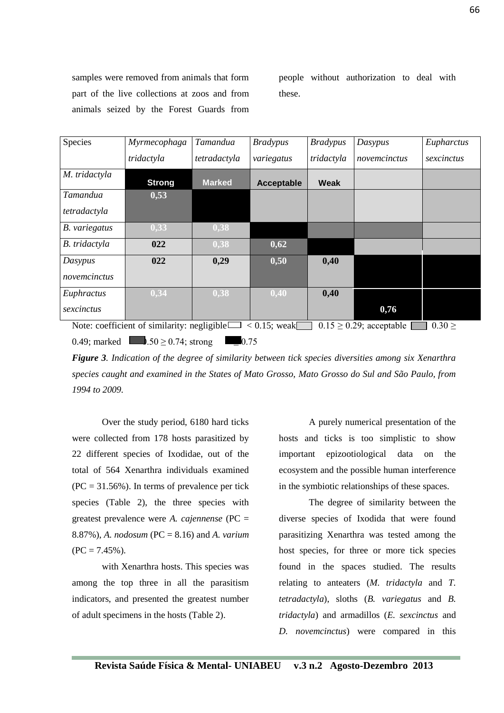samples were removed from animals that form part of the live collections at zoos and from animals seized by the Forest Guards from people without authorization to deal with these.

| Species                                                                                               | Myrmecophaga  | Tamandua      | <b>Bradypus</b> | <b>Bradypus</b> | Dasypus      | Eupharctus |
|-------------------------------------------------------------------------------------------------------|---------------|---------------|-----------------|-----------------|--------------|------------|
|                                                                                                       | tridactyla    | tetradactyla  | variegatus      | tridactyla      | novemcinctus | sexcinctus |
| M. tridactyla                                                                                         | <b>Strong</b> | <b>Marked</b> | Acceptable      | Weak            |              |            |
| Tamandua                                                                                              | 0,53          |               |                 |                 |              |            |
| tetradactyla                                                                                          |               |               |                 |                 |              |            |
| B. variegatus                                                                                         | 0,33          | 0,38          |                 |                 |              |            |
| B. tridactyla                                                                                         | 022           | 0,38          | 0,62            |                 |              |            |
| Dasypus                                                                                               | 022           | 0,29          | 0,50            | 0,40            |              |            |
| novemcinctus                                                                                          |               |               |                 |                 |              |            |
| Euphractus                                                                                            | 0,34          | 0,38          | 0,40            | 0,40            |              |            |
| sexcinctus                                                                                            |               |               |                 |                 | 0,76         |            |
| $0.15 \ge 0.29$ ; acceptable<br>Note: coefficient of similarity: negligible $\Box$<br>$< 0.15$ ; weak |               |               |                 |                 | $0.30 \geq$  |            |

0.49; marked  $0.50 > 0.74$ ; strong *Figure 3. Indication of the degree of similarity between tick species diversities among six Xenarthra*  j  $0.75$ 

*species caught and examined in the States of Mato Grosso, Mato Grosso do Sul and São Paulo, from 1994 to 2009.*

Over the study period, 6180 hard ticks were collected from 178 hosts parasitized by 22 different species of Ixodidae, out of the total of 564 Xenarthra individuals examined  $(PC = 31.56\%)$ . In terms of prevalence per tick species (Table 2), the three species with greatest prevalence were *A. cajennense* (PC = 8.87%), *A. nodosum* (PC = 8.16) and *A. varium*  $(PC = 7.45\%)$ .

with Xenarthra hosts. This species was among the top three in all the parasitism indicators, and presented the greatest number of adult specimens in the hosts (Table 2).

A purely numerical presentation of the hosts and ticks is too simplistic to show important epizootiological data on the ecosystem and the possible human interference in the symbiotic relationships of these spaces.

The degree of similarity between the diverse species of Ixodida that were found parasitizing Xenarthra was tested among the host species, for three or more tick species found in the spaces studied. The results relating to anteaters (*M. tridactyla* and *T. tetradactyla*), sloths (*B. variegatus* and *B. tridactyla*) and armadillos (*E. sexcinctus* and *D. novemcinctus*) were compared in this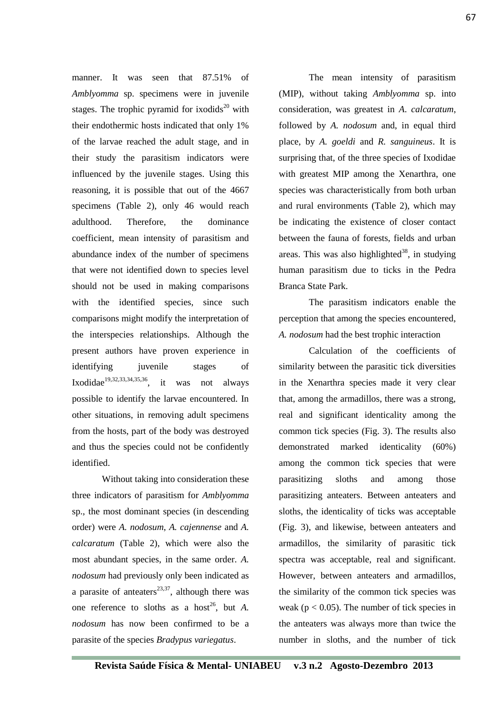manner. It was seen that 87.51% of *Amblyomma* sp. specimens were in juvenile stages. The trophic pyramid for ixodids<sup>20</sup> with their endothermic hosts indicated that only 1% of the larvae reached the adult stage, and in their study the parasitism indicators were influenced by the juvenile stages. Using this reasoning, it is possible that out of the 4667 specimens (Table 2), only 46 would reach adulthood. Therefore, the dominance coefficient, mean intensity of parasitism and abundance index of the number of specimens that were not identified down to species level should not be used in making comparisons with the identified species, since such comparisons might modify the interpretation of the interspecies relationships. Although the present authors have proven experience in identifying juvenile stages of Ixodidae<sup>19,32,33,34,35,36</sup>, it was not always possible to identify the larvae encountered. In other situations, in removing adult specimens from the hosts, part of the body was destroyed and thus the species could not be confidently identified.

Without taking into consideration these three indicators of parasitism for *Amblyomma*  sp., the most dominant species (in descending order) were *A. nodosum*, *A. cajennense* and *A. calcaratum* (Table 2), which were also the most abundant species, in the same order. *A. nodosum* had previously only been indicated as a parasite of anteaters<sup>23,37</sup>, although there was one reference to sloths as a host<sup>26</sup>, but *A*. *nodosum* has now been confirmed to be a parasite of the species *Bradypus variegatus*.

The mean intensity of parasitism (MIP), without taking *Amblyomma* sp. into consideration, was greatest in *A*. *calcaratum*, followed by *A. nodosum* and, in equal third place, by *A. goeldi* and *R. sanguineus*. It is surprising that, of the three species of Ixodidae with greatest MIP among the Xenarthra, one species was characteristically from both urban and rural environments (Table 2), which may be indicating the existence of closer contact between the fauna of forests, fields and urban areas. This was also highlighted<sup>38</sup>, in studying human parasitism due to ticks in the Pedra Branca State Park.

The parasitism indicators enable the perception that among the species encountered, *A. nodosum* had the best trophic interaction

Calculation of the coefficients of similarity between the parasitic tick diversities in the Xenarthra species made it very clear that, among the armadillos, there was a strong, real and significant identicality among the common tick species (Fig. 3). The results also demonstrated marked identicality (60%) among the common tick species that were parasitizing sloths and among those parasitizing anteaters. Between anteaters and sloths, the identicality of ticks was acceptable (Fig. 3), and likewise, between anteaters and armadillos, the similarity of parasitic tick spectra was acceptable, real and significant. However, between anteaters and armadillos, the similarity of the common tick species was weak ( $p < 0.05$ ). The number of tick species in the anteaters was always more than twice the number in sloths, and the number of tick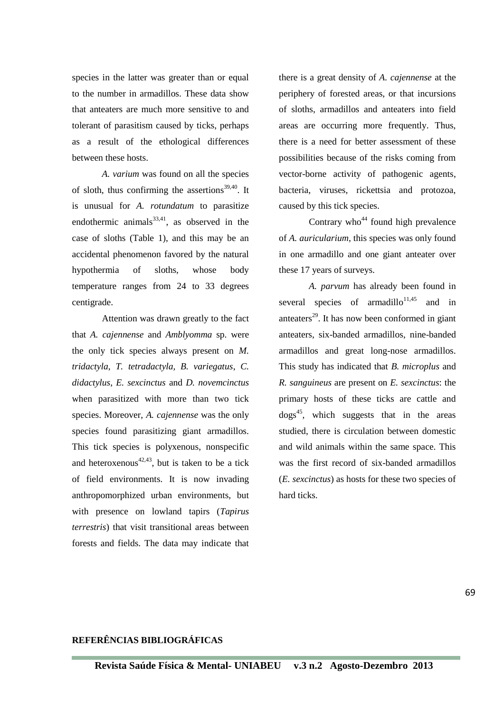species in the latter was greater than or equal to the number in armadillos. These data show that anteaters are much more sensitive to and tolerant of parasitism caused by ticks, perhaps as a result of the ethological differences between these hosts.

*A. varium* was found on all the species of sloth, thus confirming the assertions<sup>39,40</sup>. It is unusual for *A. rotundatum* to parasitize endothermic animals $^{33,41}$ , as observed in the case of sloths (Table 1), and this may be an accidental phenomenon favored by the natural hypothermia of sloths, whose body temperature ranges from 24 to 33 degrees centigrade.

Attention was drawn greatly to the fact that *A. cajennense* and *Amblyomma* sp. were the only tick species always present on *M. tridactyla*, *T. tetradactyla, B. variegatus*, *C. didactylus*, *E. sexcinctus* and *D. novemcinctus*  when parasitized with more than two tick species. Moreover, *A. cajennense* was the only species found parasitizing giant armadillos. This tick species is polyxenous, nonspecific and heteroxenous<sup>42,43</sup>, but is taken to be a tick of field environments. It is now invading anthropomorphized urban environments, but with presence on lowland tapirs (*Tapirus terrestris*) that visit transitional areas between forests and fields. The data may indicate that there is a great density of *A. cajennense* at the periphery of forested areas, or that incursions of sloths, armadillos and anteaters into field areas are occurring more frequently. Thus, there is a need for better assessment of these possibilities because of the risks coming from vector-borne activity of pathogenic agents, bacteria, viruses, rickettsia and protozoa, caused by this tick species.

Contrary who<sup> $44$ </sup> found high prevalence of *A. auricularium*, this species was only found in one armadillo and one giant anteater over these 17 years of surveys.

*A. parvum* has already been found in several species of armadillo<sup>11,45</sup> and in anteaters<sup>29</sup>. It has now been conformed in giant anteaters, six-banded armadillos, nine-banded armadillos and great long-nose armadillos. This study has indicated that *B. microplus* and *R. sanguineus* are present on *E. sexcinctus*: the primary hosts of these ticks are cattle and  $\log s^{45}$ , which suggests that in the areas studied, there is circulation between domestic and wild animals within the same space. This was the first record of six-banded armadillos (*E. sexcinctus*) as hosts for these two species of hard ticks.

# **REFERÊNCIAS BIBLIOGRÁFICAS**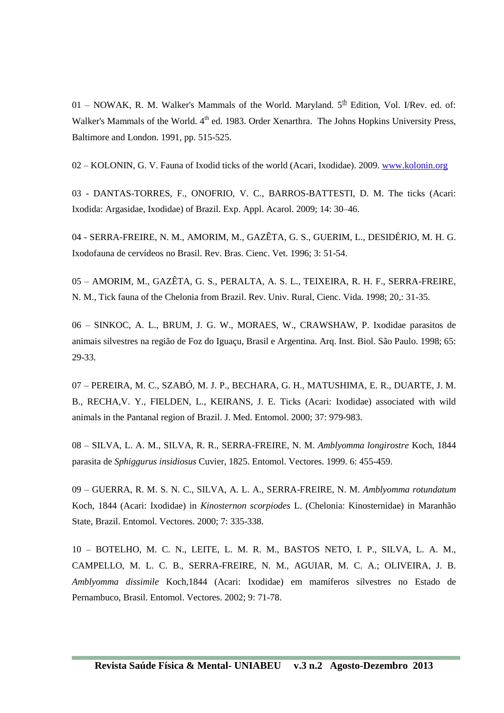01 – NOWAK, R. M. Walker's Mammals of the World. Maryland.  $5<sup>th</sup>$  Edition, Vol. I/Rev. ed. of: Walker's Mammals of the World. 4<sup>th</sup> ed. 1983. Order Xenarthra. The Johns Hopkins University Press, Baltimore and London. 1991, pp. 515-525.

02 – KOLONIN, G. V. Fauna of Ixodid ticks of the world (Acari, Ixodidae). 2009. [www.kolonin.org](http://www.kolonin.org/)

03 - DANTAS-TORRES, F., ONOFRIO, V. C., BARROS-BATTESTI, D. M. The ticks (Acari: Ixodida: Argasidae, Ixodidae) of Brazil. Exp. Appl. Acarol. 2009; 14: 30–46.

04 - SERRA-FREIRE, N. M., AMORIM, M., GAZÊTA, G. S., GUERIM, L., DESIDÉRIO, M. H. G. Ixodofauna de cervídeos no Brasil. Rev. Bras. Cienc. Vet. 1996; 3: 51-54.

05 – AMORIM, M., GAZÊTA, G. S., PERALTA, A. S. L., TEIXEIRA, R. H. F., SERRA-FREIRE, N. M., Tick fauna of the Chelonia from Brazil. Rev. Univ. Rural, Cienc. Vida. 1998; 20,: 31-35.

06 – SINKOC, A. L., BRUM, J. G. W., MORAES, W., CRAWSHAW, P. Ixodidae parasitos de animais silvestres na região de Foz do Iguaçu, Brasil e Argentina. Arq. Inst. Biol. São Paulo. 1998; 65: 29-33.

07 – PEREIRA, M. C., SZABÓ, M. J. P., BECHARA, G. H., MATUSHIMA, E. R., DUARTE, J. M. B., RECHA,V. Y., FIELDEN, L., KEIRANS, J. E. Ticks (Acari: Ixodidae) associated with wild animals in the Pantanal region of Brazil. J. Med. Entomol. 2000; 37: 979-983.

08 – SILVA, L. A. M., SILVA, R. R., SERRA-FREIRE, N. M. *Amblyomma longirostre* Koch, 1844 parasita de *Sphiggurus insidiosus* Cuvier, 1825. Entomol. Vectores. 1999. 6: 455-459.

09 – GUERRA, R. M. S. N. C., SILVA, A. L. A., SERRA-FREIRE, N. M. *Amblyomma rotundatum* Koch, 1844 (Acari: Ixodidae) in *Kinosternon scorpiodes* L. (Chelonia: Kinosternidae) in Maranhão State, Brazil. Entomol. Vectores. 2000; 7: 335-338.

10 – BOTELHO, M. C. N., LEITE, L. M. R. M., BASTOS NETO, I. P., SILVA, L. A. M., CAMPELLO, M. L. C. B., SERRA-FREIRE, N. M., AGUIAR, M. C. A.; OLIVEIRA, J. B. *Amblyomma dissimile* Koch,1844 (Acari: Ixodidae) em mamíferos silvestres no Estado de Pernambuco, Brasil. Entomol. Vectores. 2002; 9: 71-78.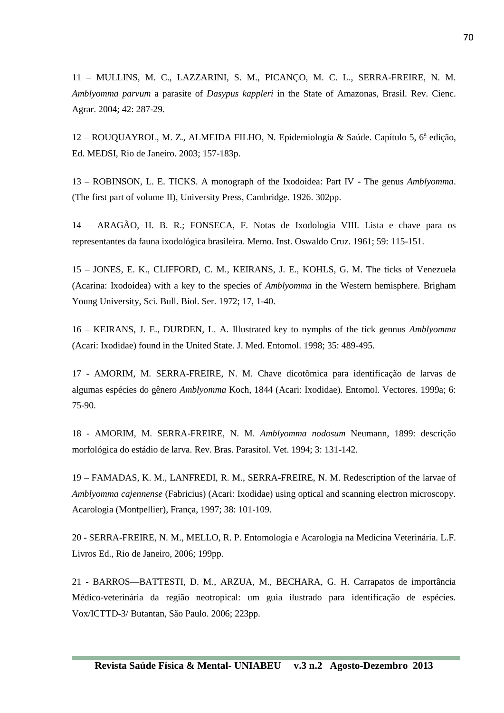11 – MULLINS, M. C., LAZZARINI, S. M., PICANÇO, M. C. L., SERRA-FREIRE, N. M. *Amblyomma parvum* a parasite of *Dasypus kappleri* in the State of Amazonas, Brasil. Rev. Cienc. Agrar. 2004; 42: 287-29.

12 - ROUQUAYROL, M. Z., ALMEIDA FILHO, N. Epidemiologia & Saúde. Capítulo 5, 6ª edição, Ed. MEDSI, Rio de Janeiro. 2003; 157-183p.

13 – ROBINSON, L. E. TICKS. A monograph of the Ixodoidea: Part IV - The genus *Amblyomma*. (The first part of volume II), University Press, Cambridge. 1926. 302pp.

14 – ARAGÃO, H. B. R.; FONSECA, F. Notas de Ixodologia VIII. Lista e chave para os representantes da fauna ixodológica brasileira. Memo. Inst. Oswaldo Cruz. 1961; 59: 115-151.

15 – JONES, E. K., CLIFFORD, C. M., KEIRANS, J. E., KOHLS, G. M. The ticks of Venezuela (Acarina: Ixodoidea) with a key to the species of *Amblyomma* in the Western hemisphere. Brigham Young University, Sci. Bull. Biol. Ser. 1972; 17, 1-40.

16 – KEIRANS, J. E., DURDEN, L. A. Illustrated key to nymphs of the tick gennus *Amblyomma*  (Acari: Ixodidae) found in the United State. J. Med. Entomol. 1998; 35: 489-495.

17 - AMORIM, M. SERRA-FREIRE, N. M. Chave dicotômica para identificação de larvas de algumas espécies do gênero *Amblyomma* Koch, 1844 (Acari: Ixodidae). Entomol. Vectores. 1999a; 6: 75-90.

18 - AMORIM, M. SERRA-FREIRE, N. M. *Amblyomma nodosum* Neumann, 1899: descrição morfológica do estádio de larva. Rev. Bras. Parasitol. Vet. 1994; 3: 131-142.

19 – FAMADAS, K. M., LANFREDI, R. M., SERRA-FREIRE, N. M. Redescription of the larvae of *Amblyomma cajennense* (Fabricius) (Acari: Ixodidae) using optical and scanning electron microscopy. Acarologia (Montpellier), França, 1997; 38: 101-109.

20 - SERRA-FREIRE, N. M., MELLO, R. P. Entomologia e Acarologia na Medicina Veterinária. L.F. Livros Ed., Rio de Janeiro, 2006; 199pp.

21 - BARROS—BATTESTI, D. M., ARZUA, M., BECHARA, G. H. Carrapatos de importância Médico-veterinária da região neotropical: um guia ilustrado para identificação de espécies.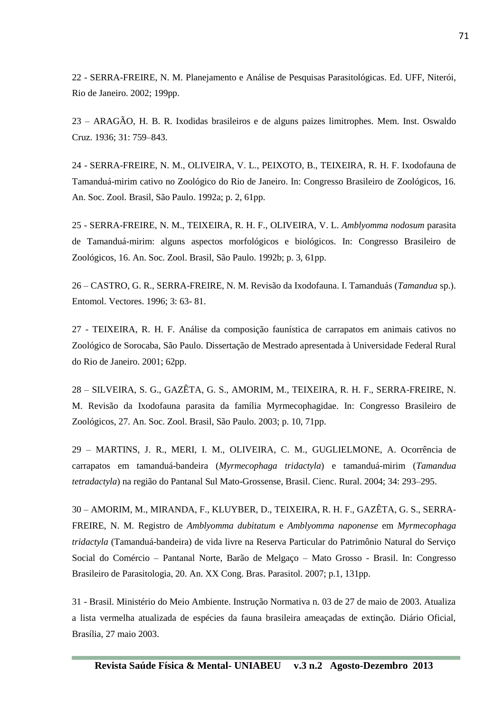22 - SERRA-FREIRE, N. M. Planejamento e Análise de Pesquisas Parasitológicas. Ed. UFF, Niterói, Rio de Janeiro. 2002; 199pp.

23 – ARAGÃO, H. B. R. Ixodidas brasileiros e de alguns paizes limitrophes. Mem. Inst. Oswaldo Cruz. 1936; 31: 759–843.

24 - SERRA-FREIRE, N. M., OLIVEIRA, V. L., PEIXOTO, B., TEIXEIRA, R. H. F. Ixodofauna de Tamanduá-mirim cativo no Zoológico do Rio de Janeiro. In: Congresso Brasileiro de Zoológicos, 16. An. Soc. Zool. Brasil, São Paulo. 1992a; p. 2, 61pp.

25 - SERRA-FREIRE, N. M., TEIXEIRA, R. H. F., OLIVEIRA, V. L. *Amblyomma nodosum* parasita de Tamanduá-mirim: alguns aspectos morfológicos e biológicos. In: Congresso Brasileiro de Zoológicos, 16. An. Soc. Zool. Brasil, São Paulo. 1992b; p. 3, 61pp.

26 – CASTRO, G. R., SERRA-FREIRE, N. M. Revisão da Ixodofauna. I. Tamanduás (*Tamandua* sp.). Entomol. Vectores. 1996; 3: 63- 81.

27 - TEIXEIRA, R. H. F. Análise da composição faunística de carrapatos em animais cativos no Zoológico de Sorocaba, São Paulo. Dissertação de Mestrado apresentada à Universidade Federal Rural do Rio de Janeiro. 2001; 62pp.

28 – SILVEIRA, S. G., GAZÊTA, G. S., AMORIM, M., TEIXEIRA, R. H. F., SERRA-FREIRE, N. M. Revisão da Ixodofauna parasita da família Myrmecophagidae. In: Congresso Brasileiro de Zoológicos, 27. An. Soc. Zool. Brasil, São Paulo. 2003; p. 10, 71pp.

29 – MARTINS, J. R., MERI, I. M., OLIVEIRA, C. M., GUGLIELMONE, A. Ocorrência de carrapatos em tamanduá-bandeira (*Myrmecophaga tridactyla*) e tamanduá-mirim (*Tamandua tetradactyla*) na região do Pantanal Sul Mato-Grossense, Brasil. Cienc. Rural. 2004; 34: 293–295.

30 – AMORIM, M., MIRANDA, F., KLUYBER, D., TEIXEIRA, R. H. F., GAZÊTA, G. S., SERRA-FREIRE, N. M. Registro de *Amblyomma dubitatum* e *Amblyomma naponense* em *Myrmecophaga tridactyla* (Tamanduá-bandeira) de vida livre na Reserva Particular do Patrimônio Natural do Serviço Social do Comércio – Pantanal Norte, Barão de Melgaço – Mato Grosso - Brasil. In: Congresso Brasileiro de Parasitologia, 20. An. XX Cong. Bras. Parasitol. 2007; p.1, 131pp.

31 - Brasil. Ministério do Meio Ambiente. Instrução Normativa n. 03 de 27 de maio de 2003. Atualiza a lista vermelha atualizada de espécies da fauna brasileira ameaçadas de extinção. Diário Oficial, Brasília, 27 maio 2003.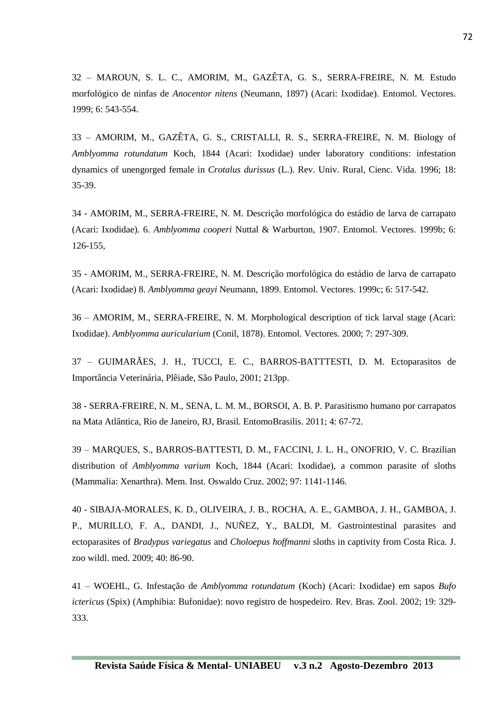32 – MAROUN, S. L. C., AMORIM, M., GAZÊTA, G. S., SERRA-FREIRE, N. M. Estudo morfológico de ninfas de *Anocentor nitens* (Neumann, 1897) (Acari: Ixodidae). Entomol. Vectores. 1999; 6: 543-554.

33 – AMORIM, M., GAZÊTA, G. S., CRISTALLI, R. S., SERRA-FREIRE, N. M. Biology of *Amblyomma rotundatum* Koch, 1844 (Acari: Ixodidae) under laboratory conditions: infestation dynamics of unengorged female in *Crotalus durissus* (L.). Rev. Univ. Rural, Cienc. Vida. 1996; 18: 35-39.

34 - AMORIM, M., SERRA-FREIRE, N. M. Descrição morfológica do estádio de larva de carrapato (Acari: Ixodidae). 6. *Amblyomma cooperi* Nuttal & Warburton, 1907. Entomol. Vectores. 1999b; 6: 126-155,

35 - AMORIM, M., SERRA-FREIRE, N. M. Descrição morfológica do estádio de larva de carrapato (Acari: Ixodidae) 8. *Amblyomma geayi* Neumann, 1899. Entomol. Vectores. 1999c; 6: 517-542.

36 – AMORIM, M., SERRA-FREIRE, N. M. Morphological description of tick larval stage (Acari: Ixodidae). *Amblyomma auricularium* (Conil, 1878). Entomol. Vectores. 2000; 7: 297-309.

37 – GUIMARÃES, J. H., TUCCI, E. C., BARROS-BATTTESTI, D. M. Ectoparasitos de Importância Veterinária, Plêiade, São Paulo, 2001; 213pp.

38 - SERRA-FREIRE, N. M., SENA, L. M. M., BORSOI, A. B. P. Parasitismo humano por carrapatos na Mata Atlântica, Rio de Janeiro, RJ, Brasil. EntomoBrasilis. 2011; 4: 67-72.

39 – MARQUES, S., BARROS-BATTESTI, D. M., FACCINI, J. L. H., ONOFRIO, V. C. Brazilian distribution of *Amblyomma varium* Koch, 1844 (Acari: Ixodidae), a common parasite of sloths (Mammalia: Xenarthra). Mem. Inst. Oswaldo Cruz. 2002; 97: 1141-1146.

40 - SIBAJA-MORALES, K. D., OLIVEIRA, J. B., ROCHA, A. E., GAMBOA, J. H., GAMBOA, J. P., MURILLO, F. A., DANDI, J., NUÑEZ, Y., BALDI, M. Gastrointestinal parasites and ectoparasites of *Bradypus variegatus* and *Choloepus hoffmanni* sloths in captivity from Costa Rica. J. zoo wildl. med. 2009; 40: 86-90.

41 – WOEHL, G. Infestação de *Amblyomma rotundatum* (Koch) (Acari: Ixodidae) em sapos *Bufo ictericus* (Spix) (Amphibia: Bufonidae): novo registro de hospedeiro. Rev. Bras. Zool. 2002; 19: 329- 333.